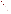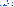Residents often have unique, firsthand knowledge about local resources and environmental threats. By making their involvement easier, the Agency can gather information available only from these sources, and by doing so, improve the quality of the overall decision-making process.

### What to Consider about Offering Assistance

It is important for EPA to provide a sound understanding of the issues and choices it is considering. Citizens who want to participate in EPA decision making may need substantial technical and/or financial assistance to do so. Understanding the needs of potential stakeholders is the first step in considering whether to provide assistance.

Researching historic environmental and political decisions in a given community can help lead you to existing groups and individuals. By listening to these parties, you can usually learn about their ability to engage in your particular program's decision and their understanding of the:

- Issues
- Scientific and technical information
- Risks and all costs of any choices
- Legal and procedural constraints
- Overall decision-making process
- Capacity to engage in your program's decision- making process

The Website for the "Internet Dialogue on Public Involvement in EPA Decisions" is http://www.network-democracy.org/epa-pip

> The next step is to understand what assistance choices are fitting and available. Talk to colleagues within EPA about the many sources of information on technical and financial assistance (See Additional Resources). Involvement and outreach specialists have often worked with affected groups and individuals, and they are a valuable resource.

> "Technical aid is not just necessary to help communities understand the risks that a CERCLA site or a polluting facility creates – it's also necessary to help folks translate what they know, because they live near the facility, into technical issues. The type of smells, the timing of odors, the occurrence of disease, or simply nose, throat, or lung irritation—all of that can translate into important technical information about a facility's operations and the risks that it creates for a community."

Alma Lowry, The Public Interest Law Firm at Syracuse University College of Law Dialogue on Public Involvement in EPA Decisions

# More Information about the Policy

Copies of the Policy and the Framework for implementing it are available at http://www.epa.gov/publicinvolvement/policy2003/ policy2003.pdf and http://www.epa.gov/publicinvolvement/policy2003/ framework.pdf

- Lack of time to review data
- Distrust of public officials
- Lack of access to information
- Lack of knowledge about both scientific methods and Policy choices and processes

EPA's Response to Comments on the Draft 2000 Public Involvement Policy is available at http://www.epa.gov/public involvement/policy2003/response.pdf

How to Provide Technical and Financial Assistance for Public Involvement

> Involvement brings the pieces together





Step 3: Consider Providing Technical or Financial Assistance to Support Public Involvement

#### Goal:

- To help affected groups and individuals who may not have adequate resources to participate effectively

The U.S. Environmental Protection Agency (EPA) issued its revised Public Involvement Policy in June 2003. The Policy's overall goal is for excellent public involvement to become an integral part of EPA's culture, thus supporting more effective Agency decisions and actions.

The Policy provides guidance to EPA managers and staff on how you can better involve the public in the Agency's decisions. The Policy outlines seven steps to effective involvement. This brochure (one in a series) offers suggestions to help you "get started" when considering technical and financial assistance for public involvement.

### Why Provide Public Involvement Assistance?

Technical and financial assistance help communities navigate complex scientific issues, data and documents.

Such assistance also helps groups and communities decide if a proposed solution fits their understanding of protective enough. They may not agree with EPA's definition of "acceptable risk."

Many individual stakeholders cannot effectively take part in a dialogue about difficult environmental decisions because they do not have enough suitable and timely technical or financial assistance or personal time to research the issues, understand the effects and results of possible decisions, and feel comfortable expressing their opinions in a public forum.

Although well-established groups may exist in a given community, they often face several obstacles to taking part in environmental decisions:

EPA 233-F-03-007





United States Environmental Protection Agency National Center for Environmental Innovation Public Involvement Staff 1200 Pennsylvania Avenue, NW 1807T Washington, DC 20460